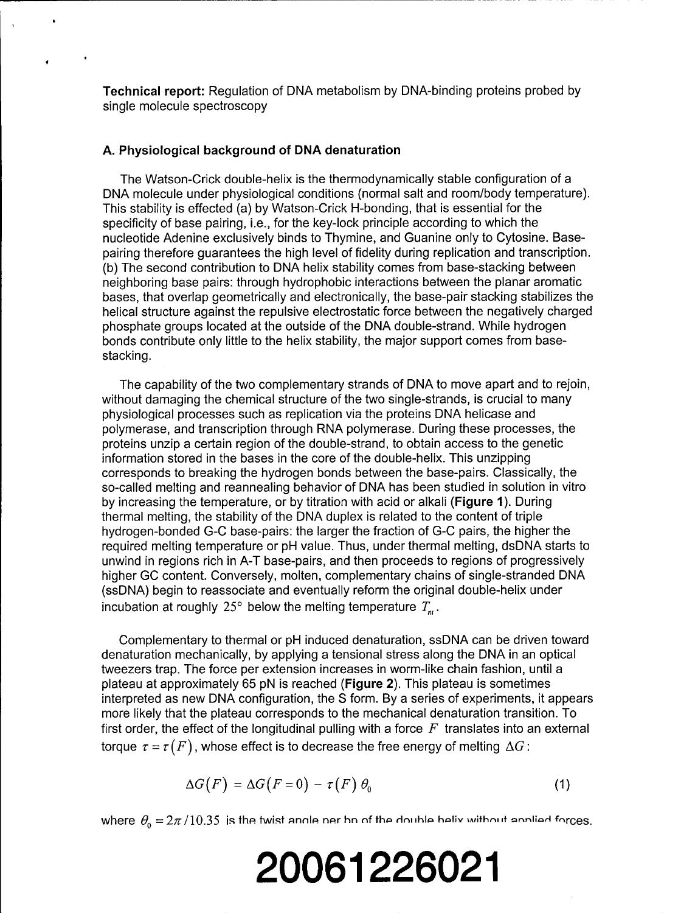**Technical report:** Regulation of DNA metabolism by DNA-binding proteins probed by single molecule spectroscopy

#### **A.** Physiological background of **DNA** denaturation

The Watson-Crick double-helix is the thermodynamically stable configuration of a DNA molecule under physiological conditions (normal salt and room/body temperature). This stability is effected (a) by Watson-Crick H-bonding, that is essential for the specificity of base pairing, i.e., for the key-lock principle according to which the nucleotide Adenine exclusively binds to Thymine, and Guanine only to Cytosine. Basepairing therefore guarantees the high level of fidelity during replication and transcription. (b) The second contribution to DNA helix stability comes from base-stacking between neighboring base pairs: through hydrophobic interactions between the planar aromatic bases, that overlap geometrically and electronically, the base-pair stacking stabilizes the helical structure against the repulsive electrostatic force between the negatively charged phosphate groups located at the outside of the DNA double-strand. While hydrogen bonds contribute only little to the helix stability, the major support comes from basestacking.

The capability of the two complementary strands of DNA to move apart and to rejoin, without damaging the chemical structure of the two single-strands, is crucial to many physiological processes such as replication via the proteins DNA helicase and polymerase, and transcription through RNA polymerase. During these processes, the proteins unzip a certain region of the double-strand, to obtain access to the genetic information stored in the bases in the core of the double-helix. This unzipping corresponds to breaking the hydrogen bonds between the base-pairs. Classically, the so-called melting and reannealing behavior of DNA has been studied in solution in vitro by increasing the temperature, or by titration with acid or alkali (Figure 1). During thermal melting, the stability of the DNA duplex is related to the content of triple hydrogen-bonded G-C base-pairs: the larger the fraction of G-C pairs, the higher the required melting temperature or pH value. Thus, under thermal melting, dsDNA starts to unwind in regions rich in A-T base-pairs, and then proceeds to regions of progressively higher GC content. Conversely, molten, complementary chains of single-stranded DNA (ssDNA) begin to reassociate and eventually reform the original double-helix under incubation at roughly  $25^\circ$  below the melting temperature  $T_{\text{m}}$ .

Complementary to thermal or pH induced denaturation, ssDNA can be driven toward denaturation mechanically, by applying a tensional stress along the DNA in an optical tweezers trap. The force per extension increases in worm-like chain fashion, until a plateau at approximately 65 pN is reached (Figure 2). This plateau is sometimes interpreted as new DNA configuration, the S form. By a series of experiments, it appears more likely that the plateau corresponds to the mechanical denaturation transition. To first order, the effect of the longitudinal pulling with a force  $F$  translates into an external torque  $\tau = \tau(F)$ , whose effect is to decrease the free energy of melting  $\Delta G$ :

$$
\Delta G(F) = \Delta G(F=0) - \tau(F) \theta_0 \tag{1}
$$

where  $\theta_0 = 2\pi/10.35$  is the twist angle ner hn of the double helix without annliad forces.

# **20061226021**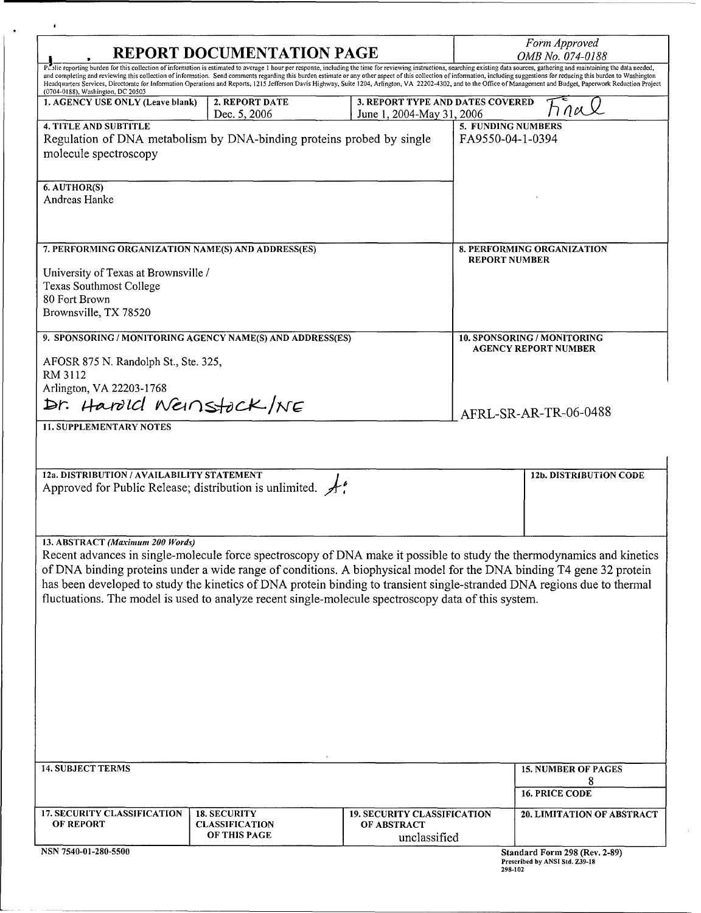| <b>REPORT DOCUMENTATION PAGE</b>                                                                                                                                                                                                                                                                                                                                                                                                                                                                                                                                                                                                                                                          |                     |                                    | Form Approved<br>OMB No. 074-0188                          |                                                                                        |
|-------------------------------------------------------------------------------------------------------------------------------------------------------------------------------------------------------------------------------------------------------------------------------------------------------------------------------------------------------------------------------------------------------------------------------------------------------------------------------------------------------------------------------------------------------------------------------------------------------------------------------------------------------------------------------------------|---------------------|------------------------------------|------------------------------------------------------------|----------------------------------------------------------------------------------------|
| P. Slic reporting burden for this collection of information is estimated to average 1 hour per response, including the time for reviewing instructions, searching existing data sources, gathering and maintaining the data ne<br>and completing and reviewing this collection of information. Send comments regarding this burden estimate or any other aspect of this collection of information, including suggestions for reducing this burden to Washington<br>Headquarters Services, Directorate for Information Operations and Reports, 1215 Jefferson Davis Highway, Suite 1204, Arlington, VA 22202-4302, and to the Office of Management and Budget, Paperwork Reduction Project |                     |                                    |                                                            |                                                                                        |
| (0704-0188), Washington, DC 20503<br>1. AGENCY USE ONLY (Leave blank)                                                                                                                                                                                                                                                                                                                                                                                                                                                                                                                                                                                                                     | 2. REPORT DATE      | 3. REPORT TYPE AND DATES COVERED   |                                                            |                                                                                        |
|                                                                                                                                                                                                                                                                                                                                                                                                                                                                                                                                                                                                                                                                                           | Dec. 5, 2006        | June 1, 2004-May 31, 2006          |                                                            |                                                                                        |
| <b>4. TITLE AND SUBTITLE</b><br>Regulation of DNA metabolism by DNA-binding proteins probed by single<br>molecule spectroscopy                                                                                                                                                                                                                                                                                                                                                                                                                                                                                                                                                            |                     |                                    | 5. FUNDING NUMBERS<br>FA9550-04-1-0394                     |                                                                                        |
| 6. AUTHOR(S)<br>Andreas Hanke                                                                                                                                                                                                                                                                                                                                                                                                                                                                                                                                                                                                                                                             |                     |                                    |                                                            |                                                                                        |
| 7. PERFORMING ORGANIZATION NAME(S) AND ADDRESS(ES)                                                                                                                                                                                                                                                                                                                                                                                                                                                                                                                                                                                                                                        |                     |                                    | <b>8. PERFORMING ORGANIZATION</b>                          |                                                                                        |
| University of Texas at Brownsville /<br><b>Texas Southmost College</b><br>80 Fort Brown<br>Brownsville, TX 78520                                                                                                                                                                                                                                                                                                                                                                                                                                                                                                                                                                          |                     |                                    | <b>REPORT NUMBER</b>                                       |                                                                                        |
| 9. SPONSORING / MONITORING AGENCY NAME(S) AND ADDRESS(ES)                                                                                                                                                                                                                                                                                                                                                                                                                                                                                                                                                                                                                                 |                     |                                    | 10. SPONSORING / MONITORING<br><b>AGENCY REPORT NUMBER</b> |                                                                                        |
| AFOSR 875 N. Randolph St., Ste. 325,<br>RM 3112<br>Arlington, VA 22203-1768<br>Dr. Harold Weinstock/NE                                                                                                                                                                                                                                                                                                                                                                                                                                                                                                                                                                                    |                     |                                    |                                                            |                                                                                        |
|                                                                                                                                                                                                                                                                                                                                                                                                                                                                                                                                                                                                                                                                                           |                     |                                    |                                                            |                                                                                        |
| <b>11. SUPPLEMENTARY NOTES</b>                                                                                                                                                                                                                                                                                                                                                                                                                                                                                                                                                                                                                                                            |                     |                                    |                                                            | AFRL-SR-AR-TR-06-0488                                                                  |
| 12a. DISTRIBUTION / AVAILABILITY STATEMENT<br>Approved for Public Release; distribution is unlimited. $\mathcal{A}$ .                                                                                                                                                                                                                                                                                                                                                                                                                                                                                                                                                                     |                     |                                    |                                                            | <b>12b. DISTRIBUTION CODE</b>                                                          |
| 13. ABSTRACT (Maximum 200 Words)<br>Recent advances in single-molecule force spectroscopy of DNA make it possible to study the thermodynamics and kinetics<br>of DNA binding proteins under a wide range of conditions. A biophysical model for the DNA binding T4 gene 32 protein<br>has been developed to study the kinetics of DNA protein binding to transient single-stranded DNA regions due to thermal<br>fluctuations. The model is used to analyze recent single-molecule spectroscopy data of this system.                                                                                                                                                                      |                     |                                    |                                                            |                                                                                        |
| <b>14. SUBJECT TERMS</b><br>17. SECURITY CLASSIFICATION                                                                                                                                                                                                                                                                                                                                                                                                                                                                                                                                                                                                                                   | <b>18. SECURITY</b> | <b>19. SECURITY CLASSIFICATION</b> |                                                            | <b>15. NUMBER OF PAGES</b><br>8<br><b>16. PRICE CODE</b><br>20. LIMITATION OF ABSTRACT |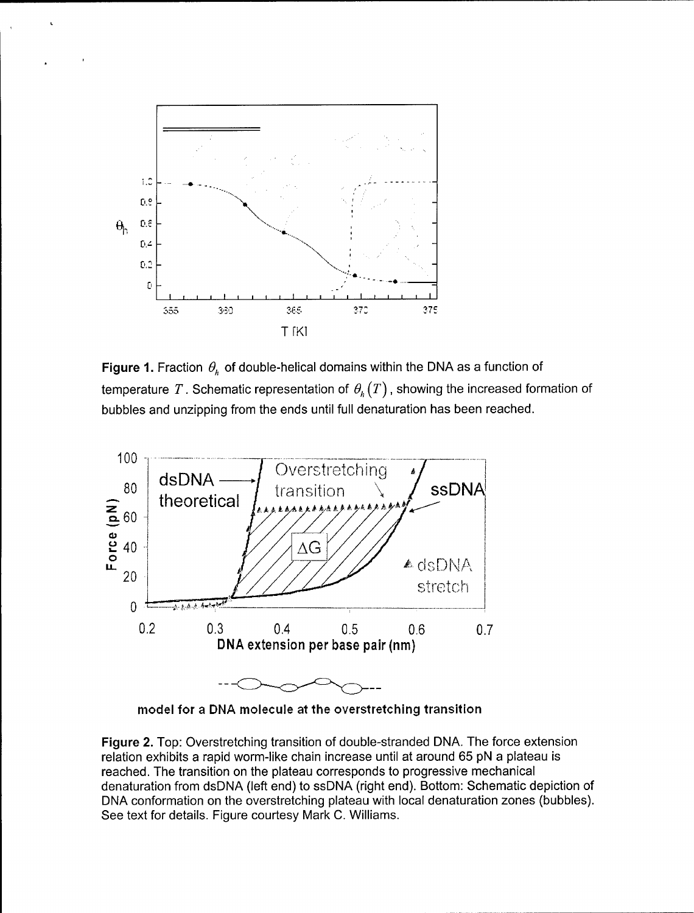

Figure 1. Fraction  $\theta_h$  of double-helical domains within the DNA as a function of temperature T. Schematic representation of  $\theta_h(T)$ , showing the increased formation of bubbles and unzipping from the ends until full denaturation has been reached.



model for a DNA molecule at the overstretching transition

Figure 2. Top: Overstretching transition of double-stranded DNA. The force extension relation exhibits a rapid worm-like chain increase until at around 65 pN a plateau is reached. The transition on the plateau corresponds to progressive mechanical denaturation from dsDNA (left end) to ssDNA (right end). Bottom: Schematic depiction of DNA conformation on the overstretching plateau with local denaturation zones (bubbles). See text for details. Figure courtesy Mark C. Williams.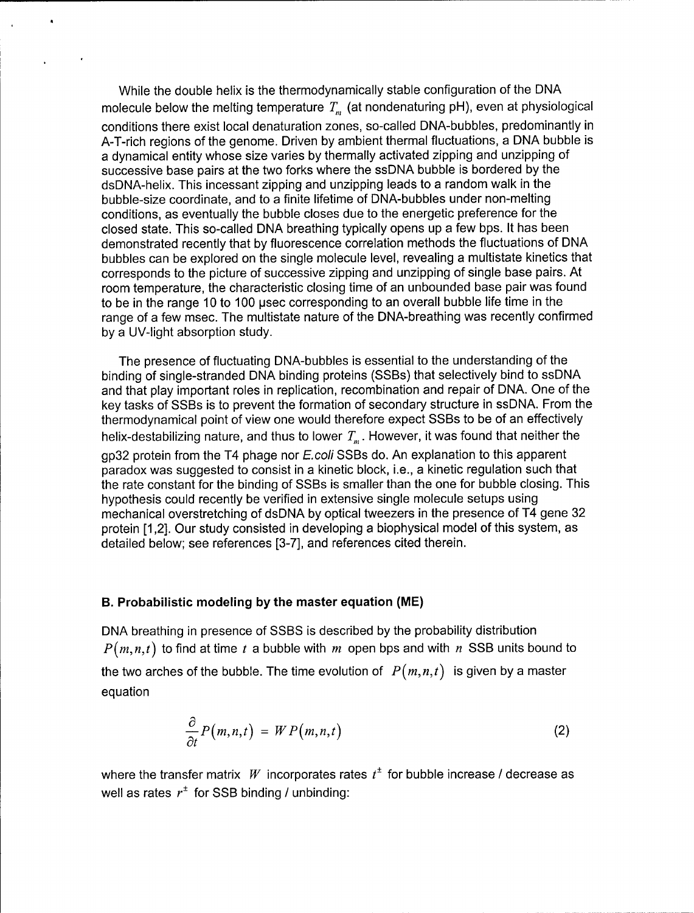While the double helix is the thermodynamically stable configuration of the DNA molecule below the melting temperature  $T_m$  (at nondenaturing pH), even at physiological conditions there exist local denaturation zones, so-called DNA-bubbles, predominantly in A-T-rich regions of the genome. Driven by ambient thermal fluctuations, a DNA bubble is a dynamical entity whose size varies by thermally activated zipping and unzipping of successive base pairs at the two forks where the ssDNA bubble is bordered by the dsDNA-helix. This incessant zipping and unzipping leads to a random walk in the bubble-size coordinate, and to a finite lifetime of DNA-bubbles under non-melting conditions, as eventually the bubble closes due to the energetic preference for the closed state. This so-called DNA breathing typically opens up a few bps. It has been demonstrated recently that by fluorescence correlation methods the fluctuations of DNA bubbles can be explored on the single molecule level, revealing a multistate kinetics that corresponds to the picture of successive zipping and unzipping of single base pairs. At room temperature, the characteristic closing time of an unbounded base pair was found to be in the range 10 to 100 usec corresponding to an overall bubble life time in the range of a few msec. The multistate nature of the DNA-breathing was recently confirmed by a UV-light absorption study.

The presence of fluctuating DNA-bubbles is essential to the understanding of the binding of single-stranded DNA binding proteins (SSBs) that selectively bind to ssDNA and that play important roles in replication, recombination and repair of DNA. One of the key tasks of SSBs is to prevent the formation of secondary structure in ssDNA. From the thermodynamical point of view one would therefore expect SSBs to be of an effectively helix-destabilizing nature, and thus to lower  $T_m$ . However, it was found that neither the gp32 protein from the T4 phage nor E.coli SSBs do. An explanation to this apparent paradox was suggested to consist in a kinetic block, i.e., a kinetic regulation such that the rate constant for the binding of SSBs is smaller than the one for bubble closing. This hypothesis could recently be verified in extensive single molecule setups using mechanical overstretching of dsDNA by optical tweezers in the presence of T4 gene 32 protein [1,2]. Our study consisted in developing a biophysical model of this system, as detailed below; see references [3-7], and references cited therein.

### B. Probabilistic modeling **by** the master equation (ME)

DNA breathing in presence of SSBS is described by the probability distribution  $P(m,n,t)$  to find at time t a bubble with m open bps and with n SSB units bound to the two arches of the bubble. The time evolution of  $P(m,n,t)$  is given by a master equation

$$
\frac{\partial}{\partial t}P(m,n,t) = W P(m,n,t) \tag{2}
$$

where the transfer matrix W incorporates rates  $t^{\pm}$  for bubble increase / decrease as well as rates  $r^{\pm}$  for SSB binding / unbinding: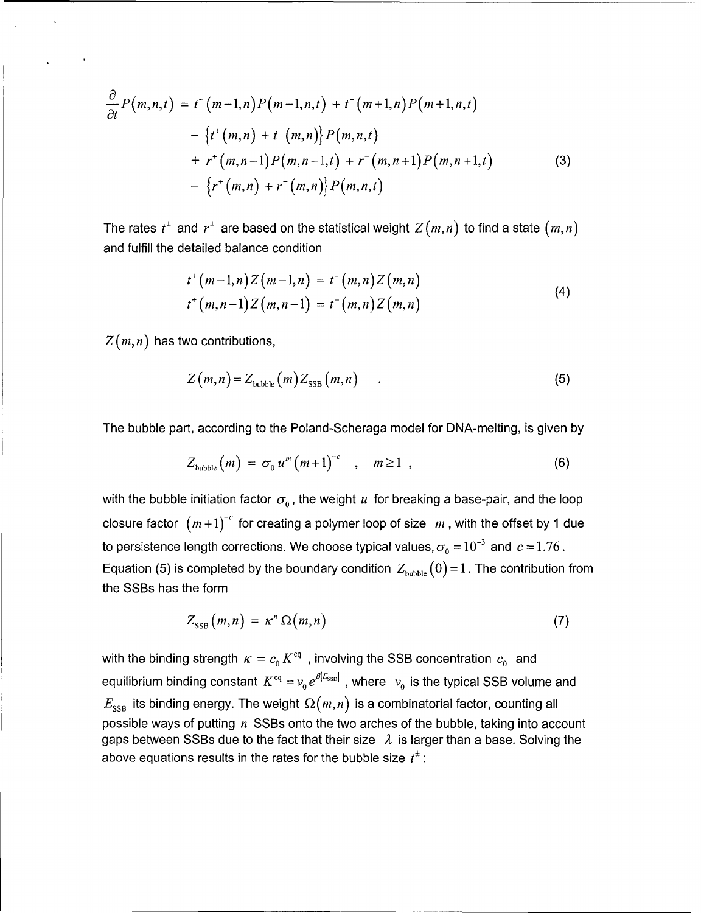$$
\frac{\partial}{\partial t} P(m,n,t) = t^+(m-1,n) P(m-1,n,t) + t^-(m+1,n) P(m+1,n,t) \n- \{t^+(m,n) + t^-(m,n)\} P(m,n,t) \n+ r^+(m,n-1) P(m,n-1,t) + r^-(m,n+1) P(m,n+1,t) \n- \{r^+(m,n) + r^-(m,n)\} P(m,n,t)
$$
\n(3)

The rates  $t^{\pm}$  and  $r^{\pm}$  are based on the statistical weight  $Z(m,n)$  to find a state  $(m,n)$ and fulfill the detailed balance condition

$$
t^{+}(m-1,n)Z(m-1,n) = t^{-}(m,n)Z(m,n)
$$
  

$$
t^{+}(m,n-1)Z(m,n-1) = t^{-}(m,n)Z(m,n)
$$
 (4)

*Z(m,n)* has two contributions,

$$
Z(m,n) = Z_{\text{bubble}}(m) Z_{\text{SSB}}(m,n) \tag{5}
$$

The bubble part, according to the Poland-Scheraga model for DNA-melting, is given by

$$
Z_{\text{bubble}}(m) = \sigma_0 u^m (m+1)^{-c} \quad , \quad m \ge 1 \quad , \tag{6}
$$

with the bubble initiation factor  $\sigma_0$ , the weight u for breaking a base-pair, and the loop closure factor  $(m+1)^{-c}$  for creating a polymer loop of size  $m$ , with the offset by 1 due to persistence length corrections. We choose typical values,  $\sigma_0 = 10^{-3}$  and  $c = 1.76$ . Equation (5) is completed by the boundary condition  $Z_{\text{bubble}}(0) = 1$ . The contribution from the SSBs has the form

$$
Z_{\rm SSB}(m,n) = \kappa^n \Omega(m,n) \tag{7}
$$

with the binding strength  $\kappa = c_0 K^{eq}$ , involving the SSB concentration  $c_0$  and equilibrium binding constant  $K^{eq} = v_0 e^{\beta |E_{SSB}|}$ , where  $v_0$  is the typical SSB volume and  $E_\mathrm{SSB}$  its binding energy. The weight  $\Omega(m,n)$  is a combinatorial factor, counting all possible ways of putting  $n$  SSBs onto the two arches of the bubble, taking into account gaps between SSBs due to the fact that their size  $\lambda$  is larger than a base. Solving the above equations results in the rates for the bubble size  $t^{\pm}$ :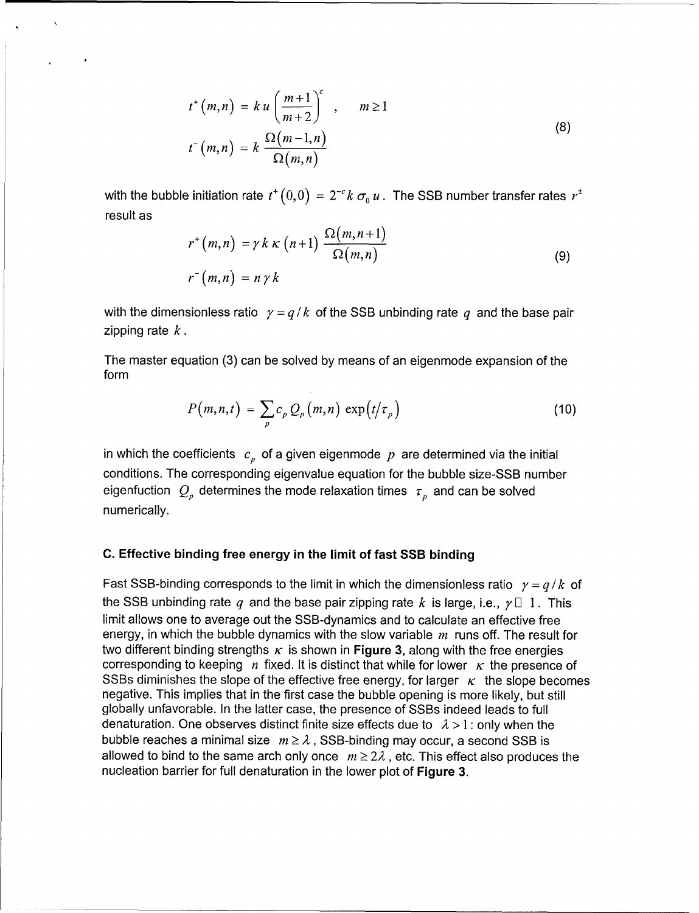$$
t^{+}(m,n) = k u \left(\frac{m+1}{m+2}\right)^{c}, \qquad m \ge 1
$$
  

$$
t^{-}(m,n) = k \frac{\Omega(m-1,n)}{\Omega(m,n)}
$$
 (8)

with the bubble initiation rate  $t^+(0,0) = 2^{-c}k \sigma_0 u$ . The SSB number transfer rates  $r^{\pm}$ result as

$$
r^{+}(m,n) = \gamma k \kappa (n+1) \frac{\Omega(m,n+1)}{\Omega(m,n)}
$$
  

$$
r^{-}(m,n) = n \gamma k
$$
 (9)

with the dimensionless ratio  $\gamma = q/k$  of the SSB unbinding rate q and the base pair zipping rate *k.*

The master equation (3) can be solved by means of an eigenmode expansion of the form

$$
P(m,n,t) = \sum_{p} c_p Q_p(m,n) \exp(t/\tau_p)
$$
 (10)

in which the coefficients  $c_p$  of a given eigenmode p are determined via the initial conditions. The corresponding eigenvalue equation for the bubble size-SSB number eigenfuction  $Q_p$  determines the mode relaxation times  $\tau_p$  and can be solved numerically.

#### C. Effective binding free energy in the limit of fast SSB binding

Fast SSB-binding corresponds to the limit in which the dimensionless ratio  $y = q/k$  of the SSB unbinding rate q and the base pair zipping rate k is large, i.e.,  $\gamma \Box$  1. This limit allows one to average out the SSB-dynamics and to calculate an effective free energy, in which the bubble dynamics with the slow variable  $m$  runs off. The result for two different binding strengths  $\kappa$  is shown in Figure 3, along with the free energies corresponding to keeping  $n$  fixed. It is distinct that while for lower  $\kappa$  the presence of SSBs diminishes the slope of the effective free energy, for larger  $\kappa$  the slope becomes negative. This implies that in the first case the bubble opening is more likely, but still globally unfavorable. In the latter case, the presence of SSBs indeed leads to full denaturation. One observes distinct finite size effects due to  $\lambda > 1$ : only when the bubble reaches a minimal size  $m \geq \lambda$ , SSB-binding may occur, a second SSB is allowed to bind to the same arch only once  $m \geq 2\lambda$ , etc. This effect also produces the nucleation barrier for full denaturation in the lower plot of Figure **3.**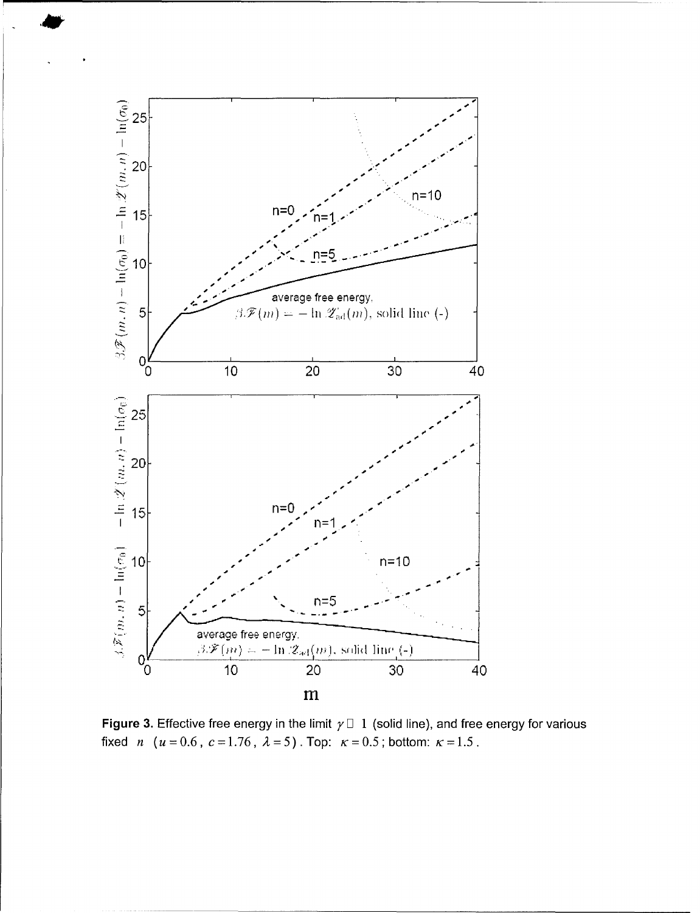

**Figure 3.** Effective free energy in the limit  $\gamma \Box 1$  (solid line), and free energy for various fixed *n*  $(u = 0.6, c = 1.76, \lambda = 5)$ . Top:  $\kappa = 0.5$ ; bottom:  $\kappa = 1.5$ .